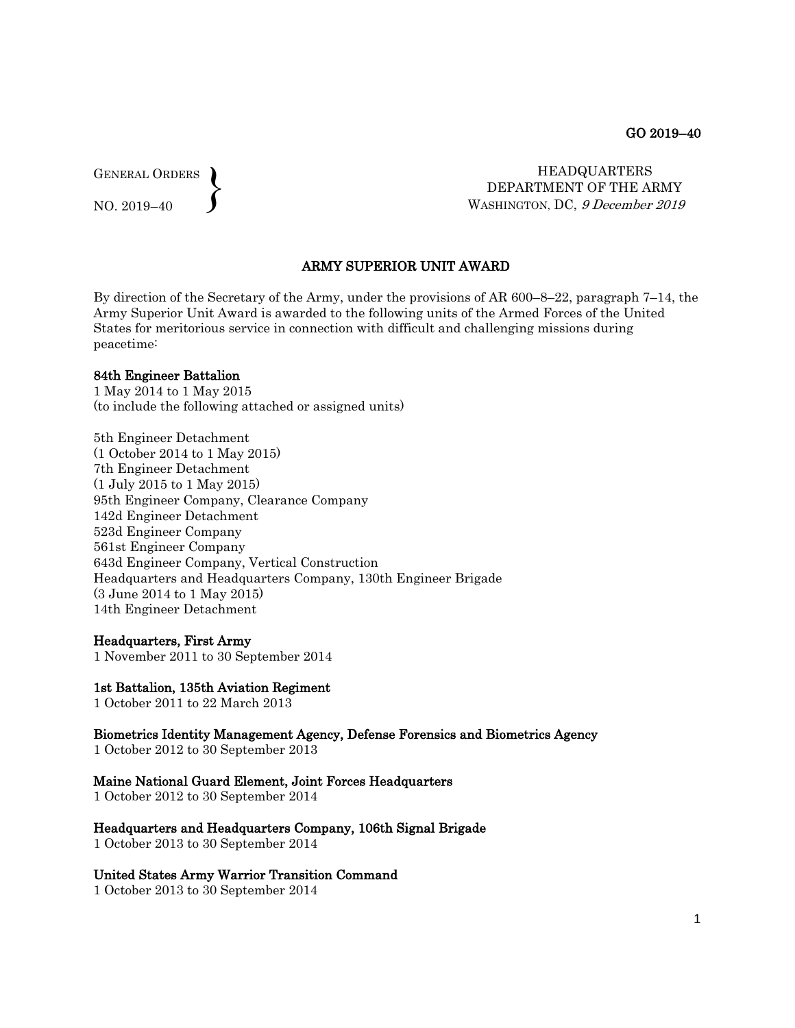GENERAL ORDERS  $\left\{ \right\}$ 

NO. 2019–40

 HEADQUARTERS DEPARTMENT OF THE ARMY WASHINGTON, DC, 9 December 2019

### ARMY SUPERIOR UNIT AWARD

By direction of the Secretary of the Army, under the provisions of AR 600–8–22, paragraph 7–14, the Army Superior Unit Award is awarded to the following units of the Armed Forces of the United States for meritorious service in connection with difficult and challenging missions during peacetime:

#### 84th Engineer Battalion

1 May 2014 to 1 May 2015 (to include the following attached or assigned units)

5th Engineer Detachment (1 October 2014 to 1 May 2015) 7th Engineer Detachment (1 July 2015 to 1 May 2015) 95th Engineer Company, Clearance Company 142d Engineer Detachment 523d Engineer Company 561st Engineer Company 643d Engineer Company, Vertical Construction Headquarters and Headquarters Company, 130th Engineer Brigade (3 June 2014 to 1 May 2015) 14th Engineer Detachment

#### Headquarters, First Army

1 November 2011 to 30 September 2014

#### 1st Battalion, 135th Aviation Regiment

1 October 2011 to 22 March 2013

Biometrics Identity Management Agency, Defense Forensics and Biometrics Agency 1 October 2012 to 30 September 2013

#### Maine National Guard Element, Joint Forces Headquarters

1 October 2012 to 30 September 2014

Headquarters and Headquarters Company, 106th Signal Brigade

1 October 2013 to 30 September 2014

#### United States Army Warrior Transition Command

1 October 2013 to 30 September 2014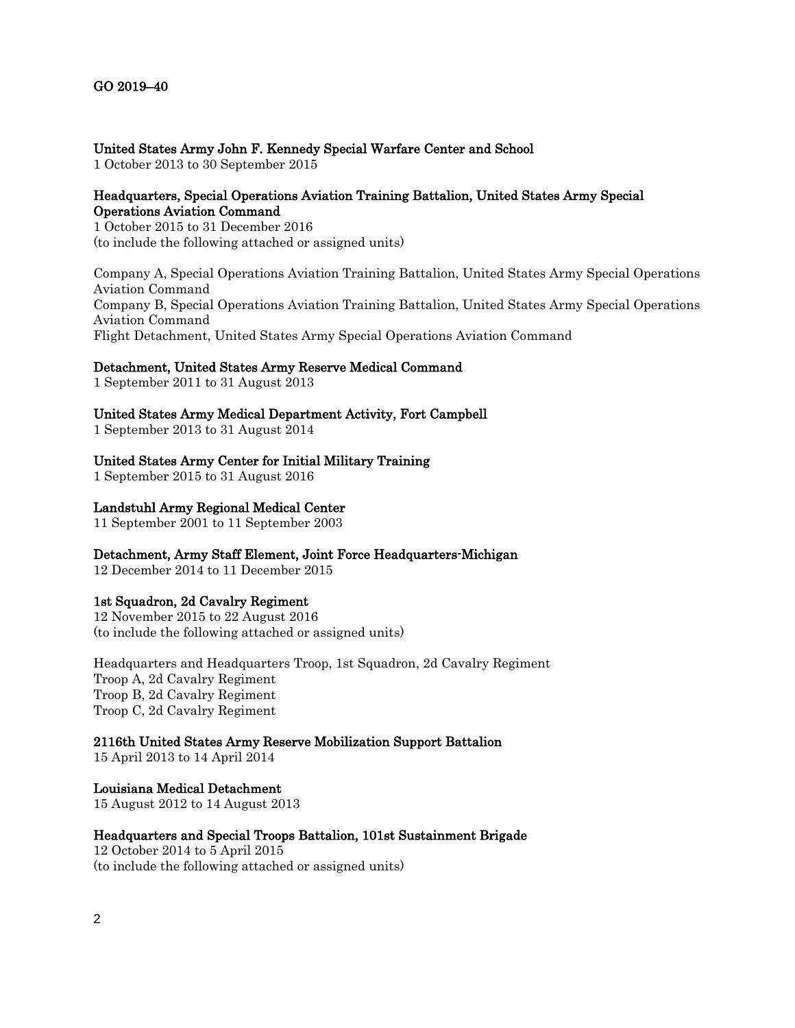## United States Army John F. Kennedy Special Warfare Center and School

1 October 2013 to 30 September 2015

## Headquarters, Special Operations Aviation Training Battalion, United States Army Special Operations Aviation Command

1 October 2015 to 31 December 2016 (to include the following attached or assigned units)

Company A, Special Operations Aviation Training Battalion, United States Army Special Operations Aviation Command Company B, Special Operations Aviation Training Battalion, United States Army Special Operations Aviation Command Flight Detachment, United States Army Special Operations Aviation Command

## Detachment, United States Army Reserve Medical Command

1 September 2011 to 31 August 2013

# United States Army Medical Department Activity, Fort Campbell

1 September 2013 to 31 August 2014

## United States Army Center for Initial Military Training

1 September 2015 to 31 August 2016

## Landstuhl Army Regional Medical Center

11 September 2001 to 11 September 2003

Detachment, Army Staff Element, Joint Force Headquarters-Michigan

12 December 2014 to 11 December 2015

### 1st Squadron, 2d Cavalry Regiment

12 November 2015 to 22 August 2016 (to include the following attached or assigned units)

Headquarters and Headquarters Troop, 1st Squadron, 2d Cavalry Regiment Troop A, 2d Cavalry Regiment Troop B, 2d Cavalry Regiment Troop C, 2d Cavalry Regiment

### 2116th United States Army Reserve Mobilization Support Battalion

15 April 2013 to 14 April 2014

Louisiana Medical Detachment 15 August 2012 to 14 August 2013

### Headquarters and Special Troops Battalion, 101st Sustainment Brigade

12 October 2014 to 5 April 2015 (to include the following attached or assigned units)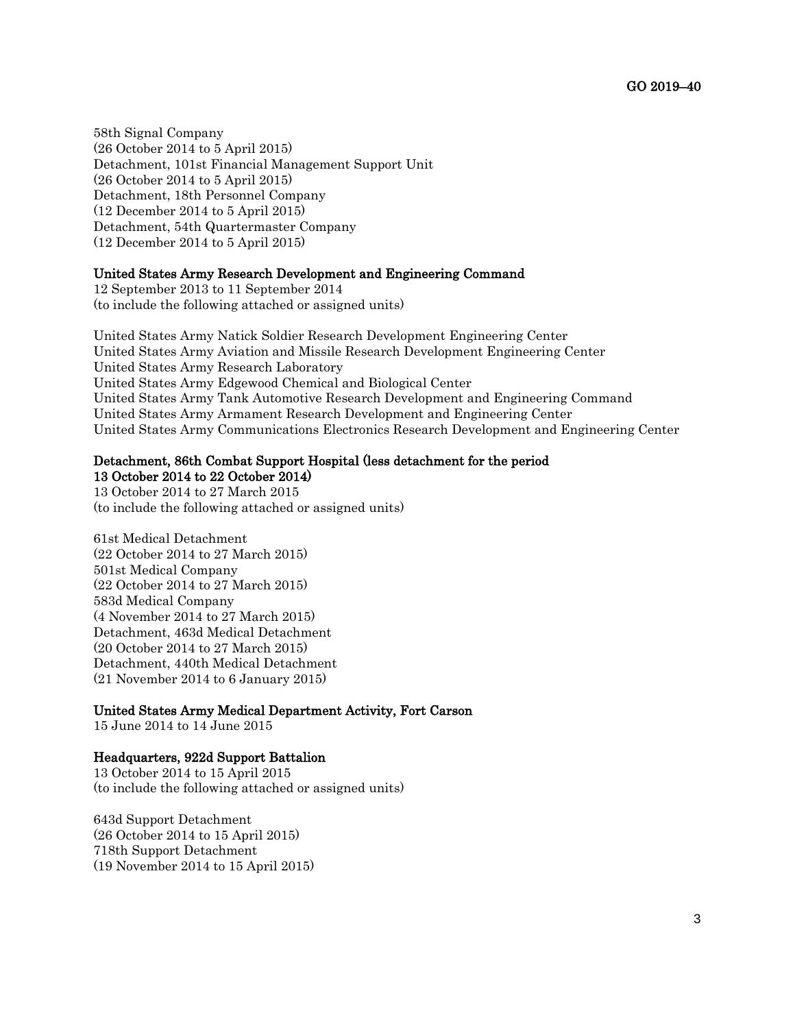58th Signal Company (26 October 2014 to 5 April 2015) Detachment, 101st Financial Management Support Unit (26 October 2014 to 5 April 2015) Detachment, 18th Personnel Company (12 December 2014 to 5 April 2015) Detachment, 54th Quartermaster Company (12 December 2014 to 5 April 2015)

#### United States Army Research Development and Engineering Command

12 September 2013 to 11 September 2014 (to include the following attached or assigned units)

United States Army Natick Soldier Research Development Engineering Center United States Army Aviation and Missile Research Development Engineering Center United States Army Research Laboratory United States Army Edgewood Chemical and Biological Center United States Army Tank Automotive Research Development and Engineering Command United States Army Armament Research Development and Engineering Center United States Army Communications Electronics Research Development and Engineering Center

#### Detachment, 86th Combat Support Hospital (less detachment for the period

13 October 2014 to 22 October 2014) 13 October 2014 to 27 March 2015 (to include the following attached or assigned units)

61st Medical Detachment (22 October 2014 to 27 March 2015) 501st Medical Company (22 October 2014 to 27 March 2015) 583d Medical Company (4 November 2014 to 27 March 2015) Detachment, 463d Medical Detachment (20 October 2014 to 27 March 2015) Detachment, 440th Medical Detachment (21 November 2014 to 6 January 2015)

## United States Army Medical Department Activity, Fort Carson

15 June 2014 to 14 June 2015

### Headquarters, 922d Support Battalion

13 October 2014 to 15 April 2015 (to include the following attached or assigned units)

643d Support Detachment (26 October 2014 to 15 April 2015) 718th Support Detachment (19 November 2014 to 15 April 2015)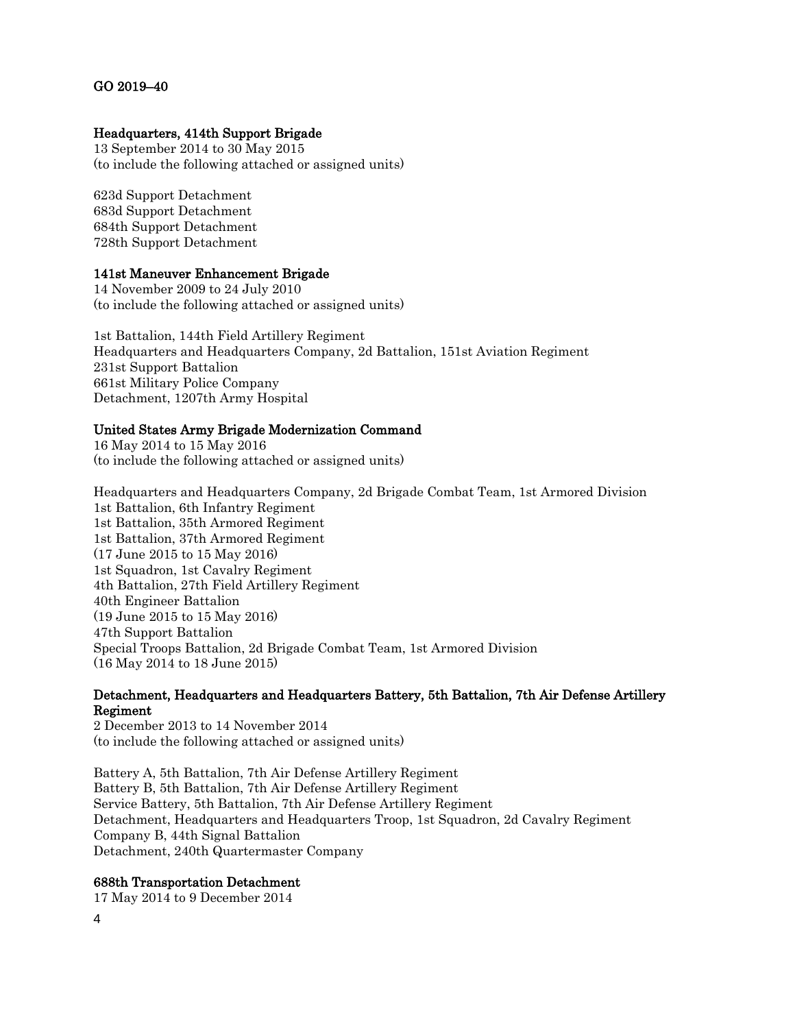## GO 2019–40

### Headquarters, 414th Support Brigade

13 September 2014 to 30 May 2015 (to include the following attached or assigned units)

623d Support Detachment 683d Support Detachment 684th Support Detachment 728th Support Detachment

#### 141st Maneuver Enhancement Brigade

14 November 2009 to 24 July 2010 (to include the following attached or assigned units)

1st Battalion, 144th Field Artillery Regiment Headquarters and Headquarters Company, 2d Battalion, 151st Aviation Regiment 231st Support Battalion 661st Military Police Company Detachment, 1207th Army Hospital

#### United States Army Brigade Modernization Command

16 May 2014 to 15 May 2016 (to include the following attached or assigned units)

Headquarters and Headquarters Company, 2d Brigade Combat Team, 1st Armored Division 1st Battalion, 6th Infantry Regiment 1st Battalion, 35th Armored Regiment 1st Battalion, 37th Armored Regiment (17 June 2015 to 15 May 2016) 1st Squadron, 1st Cavalry Regiment 4th Battalion, 27th Field Artillery Regiment 40th Engineer Battalion (19 June 2015 to 15 May 2016) 47th Support Battalion Special Troops Battalion, 2d Brigade Combat Team, 1st Armored Division (16 May 2014 to 18 June 2015)

# Detachment, Headquarters and Headquarters Battery, 5th Battalion, 7th Air Defense Artillery Regiment

2 December 2013 to 14 November 2014 (to include the following attached or assigned units)

Battery A, 5th Battalion, 7th Air Defense Artillery Regiment Battery B, 5th Battalion, 7th Air Defense Artillery Regiment Service Battery, 5th Battalion, 7th Air Defense Artillery Regiment Detachment, Headquarters and Headquarters Troop, 1st Squadron, 2d Cavalry Regiment Company B, 44th Signal Battalion Detachment, 240th Quartermaster Company

### 688th Transportation Detachment

17 May 2014 to 9 December 2014

4